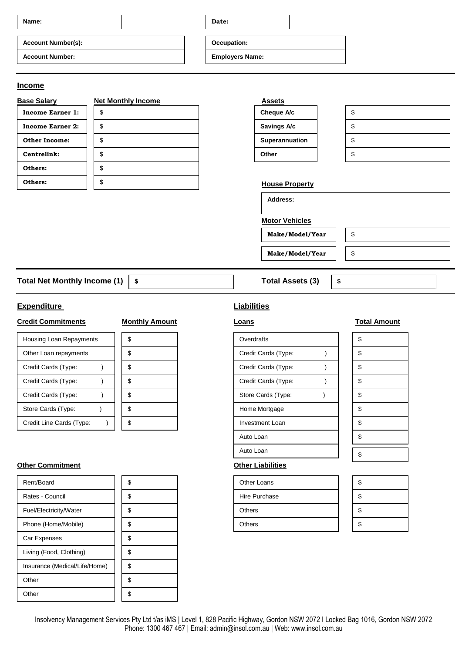| Name:                                           | Date:                  |  |
|-------------------------------------------------|------------------------|--|
| <b>Account Number(s):</b>                       | Occupation:            |  |
| <b>Account Number:</b>                          | <b>Employers Name:</b> |  |
|                                                 |                        |  |
| <b>Income</b>                                   |                        |  |
| <b>Base Salary</b><br><b>Net Monthly Income</b> | <b>Assets</b>          |  |
| <b>Income Earner 1:</b><br>\$                   | Cheque A/c<br>\$       |  |

| income Earner 1:     | J. |
|----------------------|----|
| Income Earner 2:     | \$ |
| <b>Other Income:</b> | \$ |
| Centrelink:          | \$ |
| Others:              | \$ |
| Others:              | S  |

| Assets         |    |
|----------------|----|
| Cheque A/c     | \$ |
| Savings A/c    | \$ |
| Superannuation | \$ |
| Other          | S  |

\$

\$

**\$**

## **House Property**

**Address:**

**Motor Vehicles**

**Make/Model/Year**

**Make/Model/Year**

Total Net Monthly Income (1) | \$ Total Assets (3) **\$**

# **Expenditure Liabilities**

# **Credit Commitments Monthly Amount Loans Loans Total Amount**

| Housing Loan Repayments  | ۰D | Overdrafts             | \$ |
|--------------------------|----|------------------------|----|
| Other Loan repayments    |    | Credit Cards (Type:    | \$ |
| Credit Cards (Type:      | Φ  | Credit Cards (Type:    | \$ |
| Credit Cards (Type:      |    | Credit Cards (Type:    | \$ |
| Credit Cards (Type:      | S  | Store Cards (Type:     | \$ |
| Store Cards (Type:       | S  | Home Mortgage          | \$ |
| Credit Line Cards (Type: |    | <b>Investment Loan</b> | \$ |

### **Other Commitment Other Liabilities**

| Rent/Board                    | \$ | <b>Other Loans</b> | \$ |
|-------------------------------|----|--------------------|----|
| Rates - Council               | \$ | Hire Purchase      | \$ |
| Fuel/Electricity/Water        | \$ | <b>Others</b>      | \$ |
| Phone (Home/Mobile)           | \$ | <b>Others</b>      | \$ |
| Car Expenses                  | \$ |                    |    |
| Living (Food, Clothing)       | \$ |                    |    |
| Insurance (Medical/Life/Home) | \$ |                    |    |
| Other                         | \$ |                    |    |
| Other                         | \$ |                    |    |

| Overdrafts             |  | \$ |
|------------------------|--|----|
| Credit Cards (Type:    |  | \$ |
| Credit Cards (Type:    |  | \$ |
| Credit Cards (Type:    |  | \$ |
| Store Cards (Type:     |  | \$ |
| Home Mortgage          |  | \$ |
| <b>Investment Loan</b> |  | \$ |
| Auto Loan              |  | \$ |
| Auto Loan              |  | \$ |
| .                      |  |    |

| Other Loans   | S |
|---------------|---|
| Hire Purchase | S |
| <b>Others</b> |   |
| <b>Others</b> |   |

Insolvency Management Services Pty Ltd t/as iMS | Level 1, 828 Pacific Highway, Gordon NSW 2072 I Locked Bag 1016, Gordon NSW 2072 Phone: 1300 467 467 | Email: admin@insol.com.au | Web: www.insol.com.au